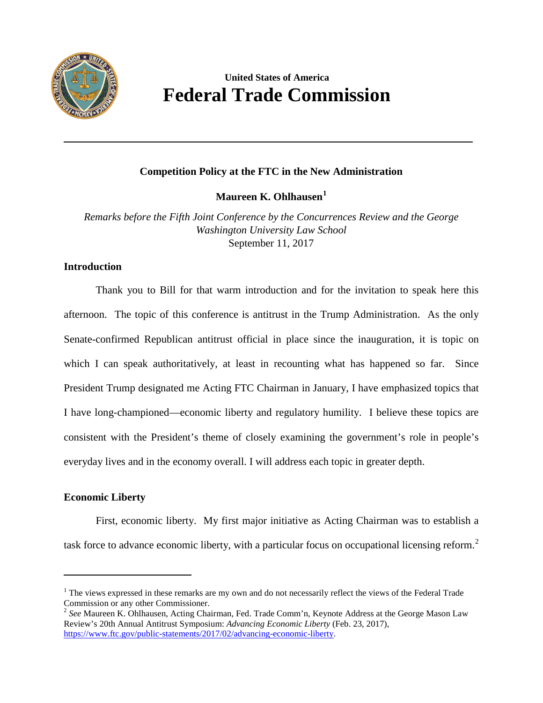

# **United States of America Federal Trade Commission**

# **Competition Policy at the FTC in the New Administration**

**Maureen K. Ohlhausen[1](#page-0-0)**

*Remarks before the Fifth Joint Conference by the Concurrences Review and the George Washington University Law School*  September 11, 2017

### **Introduction**

Thank you to Bill for that warm introduction and for the invitation to speak here this afternoon. The topic of this conference is antitrust in the Trump Administration. As the only Senate-confirmed Republican antitrust official in place since the inauguration, it is topic on which I can speak authoritatively, at least in recounting what has happened so far. Since President Trump designated me Acting FTC Chairman in January, I have emphasized topics that I have long-championed—economic liberty and regulatory humility. I believe these topics are consistent with the President's theme of closely examining the government's role in people's everyday lives and in the economy overall. I will address each topic in greater depth.

## **Economic Liberty**

l

First, economic liberty. My first major initiative as Acting Chairman was to establish a task force to advance economic liberty, with a particular focus on occupational licensing reform.<sup>[2](#page-0-1)</sup>

<span id="page-0-0"></span><sup>&</sup>lt;sup>1</sup> The views expressed in these remarks are my own and do not necessarily reflect the views of the Federal Trade Commission or any other Commissioner.

<span id="page-0-1"></span><sup>2</sup> *See* Maureen K. Ohlhausen, Acting Chairman, Fed. Trade Comm'n, Keynote Address at the George Mason Law Review's 20th Annual Antitrust Symposium: *Advancing Economic Liberty* (Feb. 23, 2017), [https://www.ftc.gov/public-statements/2017/02/advancing-economic-liberty.](https://www.ftc.gov/public-statements/2017/02/advancing-economic-liberty)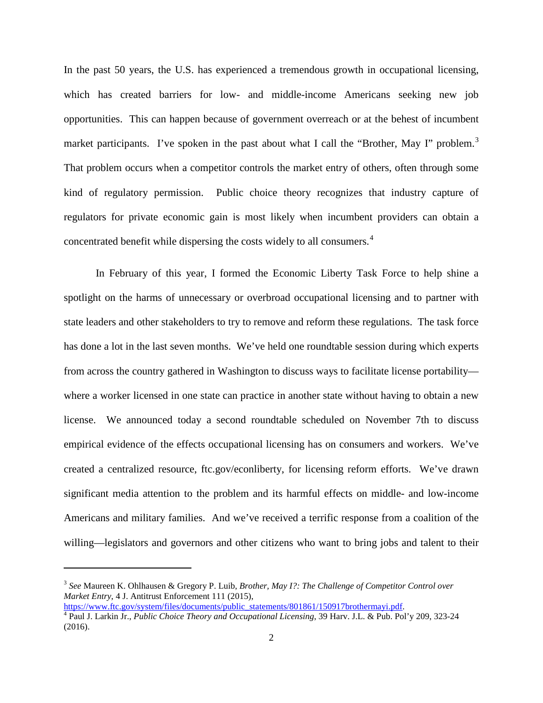In the past 50 years, the U.S. has experienced a tremendous growth in occupational licensing, which has created barriers for low- and middle-income Americans seeking new job opportunities. This can happen because of government overreach or at the behest of incumbent market participants. I've spoken in the past about what I call the "Brother, May I" problem.<sup>[3](#page-1-0)</sup> That problem occurs when a competitor controls the market entry of others, often through some kind of regulatory permission. Public choice theory recognizes that industry capture of regulators for private economic gain is most likely when incumbent providers can obtain a concentrated benefit while dispersing the costs widely to all consumers.[4](#page-1-1)

In February of this year, I formed the Economic Liberty Task Force to help shine a spotlight on the harms of unnecessary or overbroad occupational licensing and to partner with state leaders and other stakeholders to try to remove and reform these regulations. The task force has done a lot in the last seven months. We've held one roundtable session during which experts from across the country gathered in Washington to discuss ways to facilitate license portability where a worker licensed in one state can practice in another state without having to obtain a new license. We announced today a second roundtable scheduled on November 7th to discuss empirical evidence of the effects occupational licensing has on consumers and workers. We've created a centralized resource, ftc.gov/econliberty, for licensing reform efforts. We've drawn significant media attention to the problem and its harmful effects on middle- and low-income Americans and military families. And we've received a terrific response from a coalition of the willing—legislators and governors and other citizens who want to bring jobs and talent to their

<span id="page-1-0"></span><sup>3</sup> *See* Maureen K. Ohlhausen & Gregory P. Luib, *Brother, May I?: The Challenge of Competitor Control over Market Entry*, 4 J. Antitrust Enforcement 111 (2015),<br>https://www.ftc.gov/system/files/documents/public\_statements/801861/150917brothermayi.pdf.

<span id="page-1-1"></span><sup>&</sup>lt;sup>4</sup> Paul J. Larkin Jr., *Public Choice Theory and Occupational Licensing*, 39 Harv. J.L. & Pub. Pol'y 209, 323-24 (2016).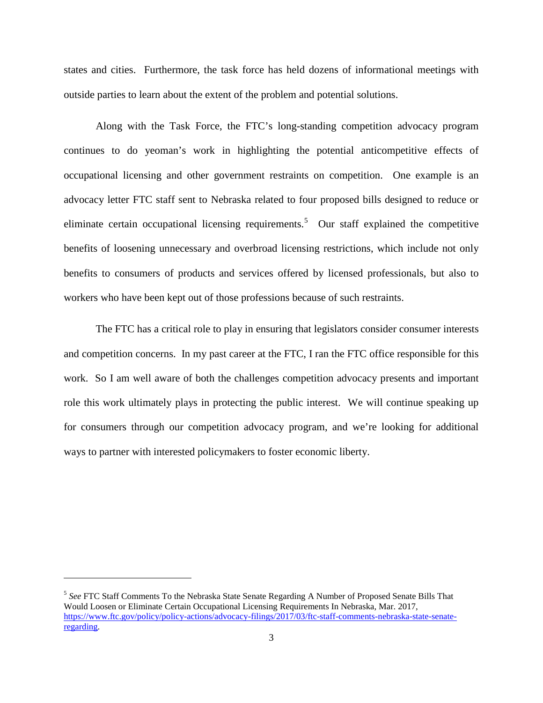states and cities. Furthermore, the task force has held dozens of informational meetings with outside parties to learn about the extent of the problem and potential solutions.

Along with the Task Force, the FTC's long-standing competition advocacy program continues to do yeoman's work in highlighting the potential anticompetitive effects of occupational licensing and other government restraints on competition. One example is an advocacy letter FTC staff sent to Nebraska related to four proposed bills designed to reduce or eliminate certain occupational licensing requirements.<sup>[5](#page-2-0)</sup> Our staff explained the competitive benefits of loosening unnecessary and overbroad licensing restrictions, which include not only benefits to consumers of products and services offered by licensed professionals, but also to workers who have been kept out of those professions because of such restraints.

The FTC has a critical role to play in ensuring that legislators consider consumer interests and competition concerns. In my past career at the FTC, I ran the FTC office responsible for this work. So I am well aware of both the challenges competition advocacy presents and important role this work ultimately plays in protecting the public interest. We will continue speaking up for consumers through our competition advocacy program, and we're looking for additional ways to partner with interested policymakers to foster economic liberty.

l

<span id="page-2-0"></span><sup>5</sup> *See* FTC Staff Comments To the Nebraska State Senate Regarding A Number of Proposed Senate Bills That Would Loosen or Eliminate Certain Occupational Licensing Requirements In Nebraska, Mar. 2017, [https://www.ftc.gov/policy/policy-actions/advocacy-filings/2017/03/ftc-staff-comments-nebraska-state-senate](https://www.ftc.gov/policy/policy-actions/advocacy-filings/2017/03/ftc-staff-comments-nebraska-state-senate-regarding)[regarding.](https://www.ftc.gov/policy/policy-actions/advocacy-filings/2017/03/ftc-staff-comments-nebraska-state-senate-regarding)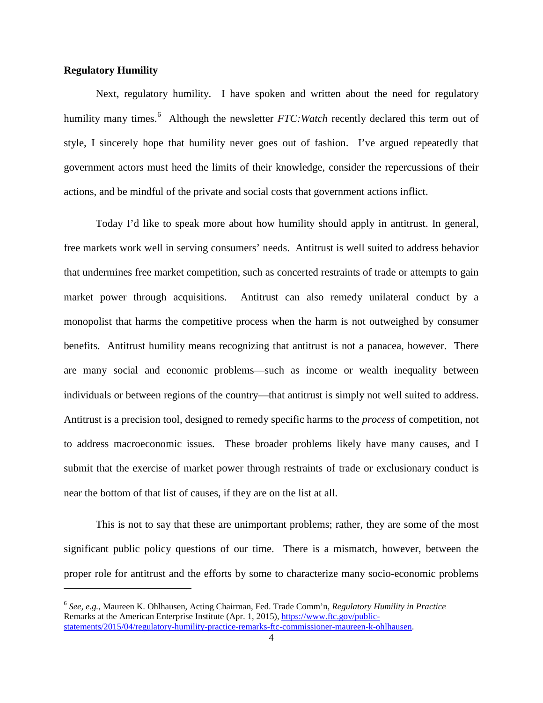#### **Regulatory Humility**

 $\overline{\phantom{a}}$ 

Next, regulatory humility. I have spoken and written about the need for regulatory humility many times.<sup>[6](#page-3-0)</sup> Although the newsletter *FTC: Watch* recently declared this term out of style, I sincerely hope that humility never goes out of fashion. I've argued repeatedly that government actors must heed the limits of their knowledge, consider the repercussions of their actions, and be mindful of the private and social costs that government actions inflict.

Today I'd like to speak more about how humility should apply in antitrust. In general, free markets work well in serving consumers' needs. Antitrust is well suited to address behavior that undermines free market competition, such as concerted restraints of trade or attempts to gain market power through acquisitions. Antitrust can also remedy unilateral conduct by a monopolist that harms the competitive process when the harm is not outweighed by consumer benefits. Antitrust humility means recognizing that antitrust is not a panacea, however. There are many social and economic problems—such as income or wealth inequality between individuals or between regions of the country—that antitrust is simply not well suited to address. Antitrust is a precision tool, designed to remedy specific harms to the *process* of competition, not to address macroeconomic issues. These broader problems likely have many causes, and I submit that the exercise of market power through restraints of trade or exclusionary conduct is near the bottom of that list of causes, if they are on the list at all.

This is not to say that these are unimportant problems; rather, they are some of the most significant public policy questions of our time. There is a mismatch, however, between the proper role for antitrust and the efforts by some to characterize many socio-economic problems

<span id="page-3-0"></span><sup>6</sup> *See, e.g.*, Maureen K. Ohlhausen, Acting Chairman, Fed. Trade Comm'n, *Regulatory Humility in Practice* Remarks at the American Enterprise Institute (Apr. 1, 2015)[, https://www.ftc.gov/public](https://www.ftc.gov/public-statements/2015/04/regulatory-humility-practice-remarks-ftc-commissioner-maureen-k-ohlhausen)[statements/2015/04/regulatory-humility-practice-remarks-ftc-commissioner-maureen-k-ohlhausen.](https://www.ftc.gov/public-statements/2015/04/regulatory-humility-practice-remarks-ftc-commissioner-maureen-k-ohlhausen)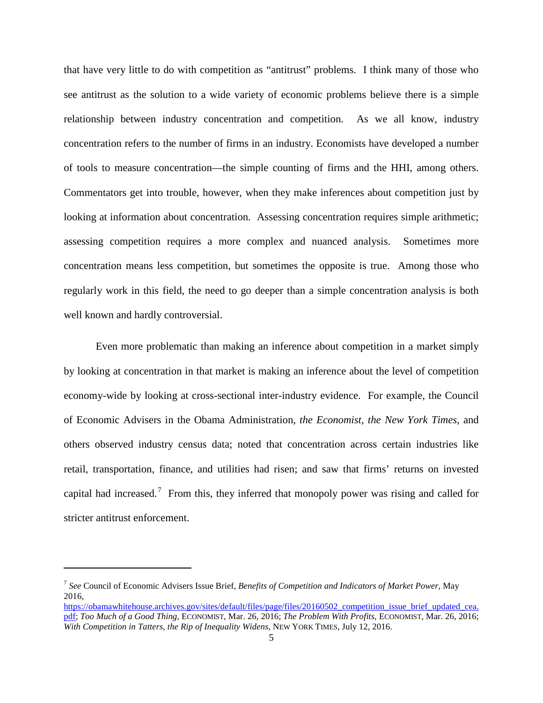that have very little to do with competition as "antitrust" problems. I think many of those who see antitrust as the solution to a wide variety of economic problems believe there is a simple relationship between industry concentration and competition. As we all know, industry concentration refers to the number of firms in an industry. Economists have developed a number of tools to measure concentration—the simple counting of firms and the HHI, among others. Commentators get into trouble, however, when they make inferences about competition just by looking at information about concentration. Assessing concentration requires simple arithmetic; assessing competition requires a more complex and nuanced analysis. Sometimes more concentration means less competition, but sometimes the opposite is true. Among those who regularly work in this field, the need to go deeper than a simple concentration analysis is both well known and hardly controversial.

Even more problematic than making an inference about competition in a market simply by looking at concentration in that market is making an inference about the level of competition economy-wide by looking at cross-sectional inter-industry evidence. For example, the Council of Economic Advisers in the Obama Administration, *the Economist*, *the New York Times*, and others observed industry census data; noted that concentration across certain industries like retail, transportation, finance, and utilities had risen; and saw that firms' returns on invested capital had increased.<sup>[7](#page-4-0)</sup> From this, they inferred that monopoly power was rising and called for stricter antitrust enforcement.

<span id="page-4-0"></span><sup>7</sup> *See* Council of Economic Advisers Issue Brief, *Benefits of Competition and Indicators of Market Power*, May 2016,

https://obamawhitehouse.archives.gov/sites/default/files/page/files/20160502 competition issue brief updated cea. [pdf;](https://obamawhitehouse.archives.gov/sites/default/files/page/files/20160502_competition_issue_brief_updated_cea.pdf) *Too Much of a Good Thing*, ECONOMIST, Mar. 26, 2016; *The Problem With Profits*, ECONOMIST, Mar. 26, 2016; *With Competition in Tatters, the Rip of Inequality Widens*, NEW YORK TIMES, July 12, 2016.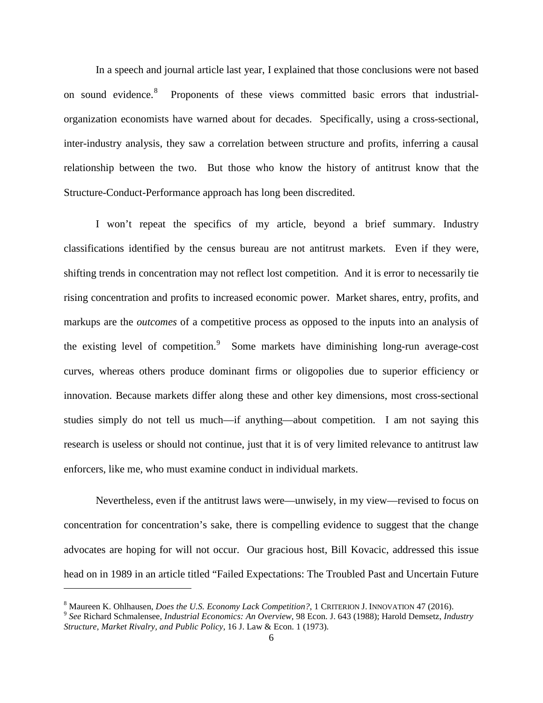In a speech and journal article last year, I explained that those conclusions were not based on sound evidence.<sup>[8](#page-5-0)</sup> Proponents of these views committed basic errors that industrialorganization economists have warned about for decades. Specifically, using a cross-sectional, inter-industry analysis, they saw a correlation between structure and profits, inferring a causal relationship between the two. But those who know the history of antitrust know that the Structure-Conduct-Performance approach has long been discredited.

I won't repeat the specifics of my article, beyond a brief summary. Industry classifications identified by the census bureau are not antitrust markets. Even if they were, shifting trends in concentration may not reflect lost competition. And it is error to necessarily tie rising concentration and profits to increased economic power. Market shares, entry, profits, and markups are the *outcomes* of a competitive process as opposed to the inputs into an analysis of the existing level of competition.<sup>[9](#page-5-1)</sup> Some markets have diminishing long-run average-cost curves, whereas others produce dominant firms or oligopolies due to superior efficiency or innovation. Because markets differ along these and other key dimensions, most cross-sectional studies simply do not tell us much—if anything—about competition. I am not saying this research is useless or should not continue, just that it is of very limited relevance to antitrust law enforcers, like me, who must examine conduct in individual markets.

Nevertheless, even if the antitrust laws were—unwisely, in my view—revised to focus on concentration for concentration's sake, there is compelling evidence to suggest that the change advocates are hoping for will not occur. Our gracious host, Bill Kovacic, addressed this issue head on in 1989 in an article titled "Failed Expectations: The Troubled Past and Uncertain Future

<span id="page-5-1"></span><span id="page-5-0"></span> $^8$  Maureen K. Ohlhausen, *Does the U.S. Economy Lack Competition?*, 1 CRITERION J. INNOVATION 47 (2016).<br><sup>9</sup> See Richard Schmalensee, *Industrial Economics: An Overview*, 98 Econ. J. 643 (1988); Harold Demsetz, *Industr Structure, Market Rivalry, and Public Policy*, 16 J. Law & Econ. 1 (1973).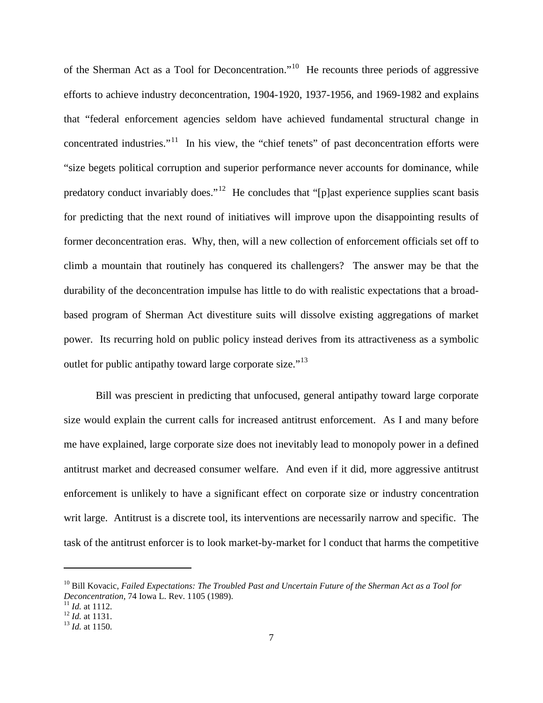of the Sherman Act as a Tool for Deconcentration."<sup>[10](#page-6-0)</sup> He recounts three periods of aggressive efforts to achieve industry deconcentration, 1904-1920, 1937-1956, and 1969-1982 and explains that "federal enforcement agencies seldom have achieved fundamental structural change in concentrated industries."<sup>[11](#page-6-1)</sup> In his view, the "chief tenets" of past deconcentration efforts were "size begets political corruption and superior performance never accounts for dominance, while predatory conduct invariably does."<sup>[12](#page-6-2)</sup> He concludes that "[p]ast experience supplies scant basis for predicting that the next round of initiatives will improve upon the disappointing results of former deconcentration eras. Why, then, will a new collection of enforcement officials set off to climb a mountain that routinely has conquered its challengers? The answer may be that the durability of the deconcentration impulse has little to do with realistic expectations that a broadbased program of Sherman Act divestiture suits will dissolve existing aggregations of market power. Its recurring hold on public policy instead derives from its attractiveness as a symbolic outlet for public antipathy toward large corporate size."[13](#page-6-3)

Bill was prescient in predicting that unfocused, general antipathy toward large corporate size would explain the current calls for increased antitrust enforcement. As I and many before me have explained, large corporate size does not inevitably lead to monopoly power in a defined antitrust market and decreased consumer welfare. And even if it did, more aggressive antitrust enforcement is unlikely to have a significant effect on corporate size or industry concentration writ large. Antitrust is a discrete tool, its interventions are necessarily narrow and specific. The task of the antitrust enforcer is to look market-by-market for l conduct that harms the competitive

<span id="page-6-0"></span><sup>10</sup> Bill Kovacic, *Failed Expectations: The Troubled Past and Uncertain Future of the Sherman Act as a Tool for Deconcentration*, 74 Iowa L. Rev. 1105 (1989).<br><sup>11</sup> *Id.* at 1112.<br><sup>12</sup> *Id.* at 1131.<br><sup>13</sup> *Id.* at 1150.

<span id="page-6-1"></span>

<span id="page-6-3"></span><span id="page-6-2"></span>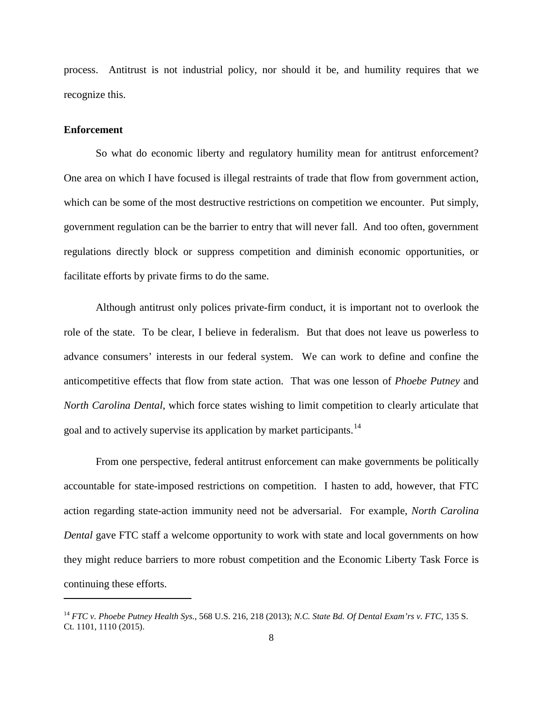process. Antitrust is not industrial policy, nor should it be, and humility requires that we recognize this.

#### **Enforcement**

 $\overline{\phantom{a}}$ 

So what do economic liberty and regulatory humility mean for antitrust enforcement? One area on which I have focused is illegal restraints of trade that flow from government action, which can be some of the most destructive restrictions on competition we encounter. Put simply, government regulation can be the barrier to entry that will never fall. And too often, government regulations directly block or suppress competition and diminish economic opportunities, or facilitate efforts by private firms to do the same.

Although antitrust only polices private-firm conduct, it is important not to overlook the role of the state. To be clear, I believe in federalism. But that does not leave us powerless to advance consumers' interests in our federal system. We can work to define and confine the anticompetitive effects that flow from state action. That was one lesson of *Phoebe Putney* and *North Carolina Dental*, which force states wishing to limit competition to clearly articulate that goal and to actively supervise its application by market participants.<sup>[14](#page-7-0)</sup>

From one perspective, federal antitrust enforcement can make governments be politically accountable for state-imposed restrictions on competition. I hasten to add, however, that FTC action regarding state-action immunity need not be adversarial. For example, *North Carolina Dental* gave FTC staff a welcome opportunity to work with state and local governments on how they might reduce barriers to more robust competition and the Economic Liberty Task Force is continuing these efforts.

<span id="page-7-0"></span><sup>14</sup> *FTC v. Phoebe Putney Health Sys.*, 568 U.S. 216, 218 (2013); *N.C. State Bd. Of Dental Exam'rs v. FTC*, 135 S. Ct. 1101, 1110 (2015).